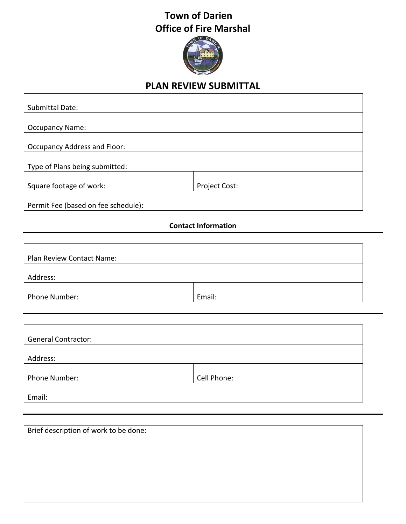## **Town of Darien Office of Fire Marshal**



## **PLAN REVIEW SUBMITTAL**

٦

 $\Gamma$ 

| <b>Submittal Date:</b>              |               |  |
|-------------------------------------|---------------|--|
|                                     |               |  |
| <b>Occupancy Name:</b>              |               |  |
|                                     |               |  |
| <b>Occupancy Address and Floor:</b> |               |  |
|                                     |               |  |
| Type of Plans being submitted:      |               |  |
|                                     |               |  |
| Square footage of work:             | Project Cost: |  |
|                                     |               |  |
| Permit Fee (based on fee schedule): |               |  |

## **Contact Information**

| Plan Review Contact Name: |        |  |  |
|---------------------------|--------|--|--|
|                           |        |  |  |
| Address:                  |        |  |  |
|                           |        |  |  |
| Phone Number:             | Email: |  |  |

| <b>General Contractor:</b> |             |  |
|----------------------------|-------------|--|
| Address:                   |             |  |
|                            |             |  |
| Phone Number:              | Cell Phone: |  |
| Email:                     |             |  |

Brief description of work to be done: